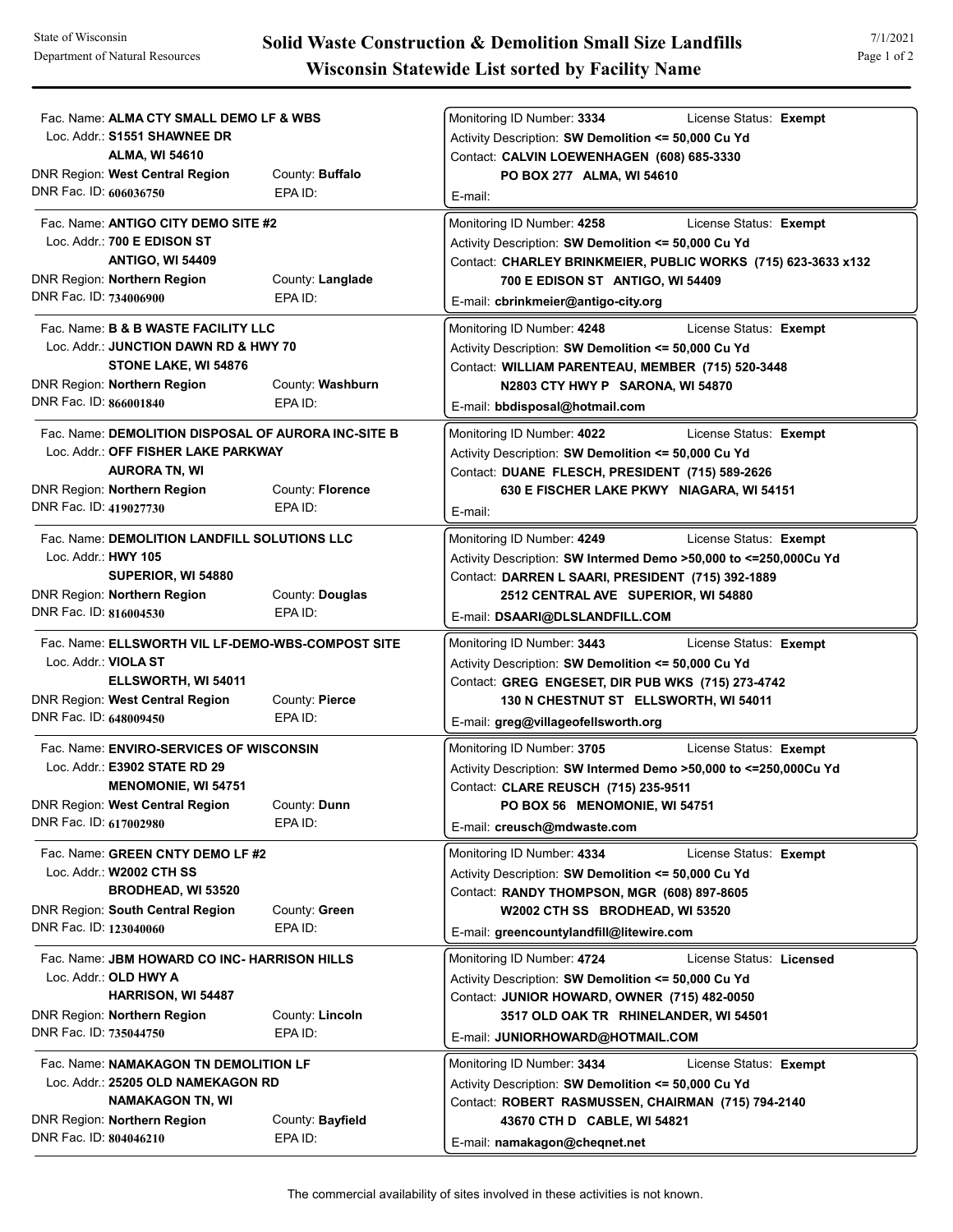| Fac. Name: ALMA CTY SMALL DEMO LF & WBS<br>Loc. Addr.: S1551 SHAWNEE DR<br><b>ALMA, WI 54610</b><br><b>DNR Region: West Central Region</b><br>DNR Fac. ID: 606036750               | County: <b>Buffalo</b><br>EPA ID: | Monitoring ID Number: 3334<br>License Status: Exempt<br>Activity Description: SW Demolition <= 50,000 Cu Yd<br>Contact: CALVIN LOEWENHAGEN (608) 685-3330<br>PO BOX 277 ALMA, WI 54610<br>E-mail:                                                       |
|------------------------------------------------------------------------------------------------------------------------------------------------------------------------------------|-----------------------------------|---------------------------------------------------------------------------------------------------------------------------------------------------------------------------------------------------------------------------------------------------------|
| Fac. Name: ANTIGO CITY DEMO SITE #2<br>Loc. Addr.: 700 E EDISON ST<br><b>ANTIGO, WI 54409</b><br>DNR Region: Northern Region<br>DNR Fac. ID: 734006900                             | County: Langlade<br>EPA ID:       | Monitoring ID Number: 4258<br>License Status: Exempt<br>Activity Description: SW Demolition <= 50,000 Cu Yd<br>Contact: CHARLEY BRINKMEIER, PUBLIC WORKS (715) 623-3633 x132<br>700 E EDISON ST ANTIGO, WI 54409<br>E-mail: cbrinkmeier@antigo-city.org |
| Fac. Name: <b>B &amp; B WASTE FACILITY LLC</b><br>Loc. Addr.: JUNCTION DAWN RD & HWY 70<br>STONE LAKE, WI 54876<br><b>DNR Region: Northern Region</b><br>DNR Fac. ID: 866001840    | County: Washburn<br>EPA ID:       | Monitoring ID Number: 4248<br>License Status: Exempt<br>Activity Description: SW Demolition <= 50,000 Cu Yd<br>Contact: WILLIAM PARENTEAU, MEMBER (715) 520-3448<br>N2803 CTY HWY P SARONA, WI 54870<br>E-mail: bbdisposal@hotmail.com                  |
| Fac. Name: DEMOLITION DISPOSAL OF AURORA INC-SITE B<br>Loc. Addr.: OFF FISHER LAKE PARKWAY<br><b>AURORA TN, WI</b><br><b>DNR Region: Northern Region</b><br>DNR Fac. ID: 419027730 | County: Florence<br>EPA ID:       | License Status: Exempt<br>Monitoring ID Number: 4022<br>Activity Description: SW Demolition <= 50,000 Cu Yd<br>Contact: DUANE FLESCH, PRESIDENT (715) 589-2626<br>630 E FISCHER LAKE PKWY NIAGARA, WI 54151<br>E-mail:                                  |
| Fac. Name: DEMOLITION LANDFILL SOLUTIONS LLC<br>Loc. Addr.: <b>HWY 105</b><br>SUPERIOR, WI 54880<br><b>DNR Region: Northern Region</b><br>DNR Fac. ID: 816004530                   | County: Douglas<br>EPA ID:        | Monitoring ID Number: 4249<br>License Status: Exempt<br>Activity Description: SW Intermed Demo >50,000 to <= 250,000Cu Yd<br>Contact: DARREN L SAARI, PRESIDENT (715) 392-1889<br>2512 CENTRAL AVE SUPERIOR, WI 54880<br>E-mail: DSAARI@DLSLANDFILL.COM |
| Fac. Name: ELLSWORTH VIL LF-DEMO-WBS-COMPOST SITE<br>Loc. Addr.: VIOLA ST<br>ELLSWORTH, WI 54011<br>DNR Region: West Central Region<br>DNR Fac. ID: 648009450                      | County: Pierce<br>EPA ID:         | License Status: Exempt<br>Monitoring ID Number: 3443<br>Activity Description: SW Demolition <= 50,000 Cu Yd<br>Contact: GREG ENGESET, DIR PUB WKS (715) 273-4742<br>130 N CHESTNUT ST ELLSWORTH, WI 54011<br>E-mail: greg@villageofellsworth.org        |
| Fac. Name: ENVIRO-SERVICES OF WISCONSIN<br>Loc. Addr.: E3902 STATE RD 29<br><b>MENOMONIE, WI 54751</b><br>DNR Region: West Central Region<br>DNR Fac. ID: 617002980                | County: Dunn<br>EPA ID:           | License Status: Exempt<br>Monitoring ID Number: 3705<br>Activity Description: SW Intermed Demo >50,000 to <= 250,000Cu Yd<br>Contact: CLARE REUSCH (715) 235-9511<br>PO BOX 56 MENOMONIE, WI 54751<br>E-mail: creusch@mdwaste.com                       |
| Fac. Name: GREEN CNTY DEMO LF #2<br>Loc. Addr.: W2002 CTH SS<br>BRODHEAD, WI 53520<br><b>DNR Region: South Central Region</b><br>DNR Fac. ID: 123040060                            | County: Green<br>EPA ID:          | License Status: Exempt<br>Monitoring ID Number: 4334<br>Activity Description: SW Demolition <= 50,000 Cu Yd<br>Contact: RANDY THOMPSON, MGR (608) 897-8605<br>W2002 CTH SS BRODHEAD, WI 53520<br>E-mail: greencountylandfill@litewire.com               |
| Fac. Name: JBM HOWARD CO INC- HARRISON HILLS<br>Loc. Addr.: OLD HWY A<br><b>HARRISON, WI 54487</b><br><b>DNR Region: Northern Region</b><br>DNR Fac. ID: 735044750                 | County: Lincoln<br>EPA ID:        | License Status: Licensed<br>Monitoring ID Number: 4724<br>Activity Description: SW Demolition <= 50,000 Cu Yd<br>Contact: JUNIOR HOWARD, OWNER (715) 482-0050<br>3517 OLD OAK TR RHINELANDER, WI 54501<br>E-mail: JUNIORHOWARD@HOTMAIL.COM              |
| Fac. Name: NAMAKAGON TN DEMOLITION LF<br>Loc. Addr.: 25205 OLD NAMEKAGON RD<br><b>NAMAKAGON TN, WI</b><br><b>DNR Region: Northern Region</b><br>DNR Fac. ID: 804046210             | County: Bayfield<br>EPA ID:       | Monitoring ID Number: 3434<br>License Status: Exempt<br>Activity Description: SW Demolition <= 50,000 Cu Yd<br>Contact: ROBERT RASMUSSEN, CHAIRMAN (715) 794-2140<br>43670 CTH D CABLE, WI 54821<br>E-mail: namakagon@cheqnet.net                       |